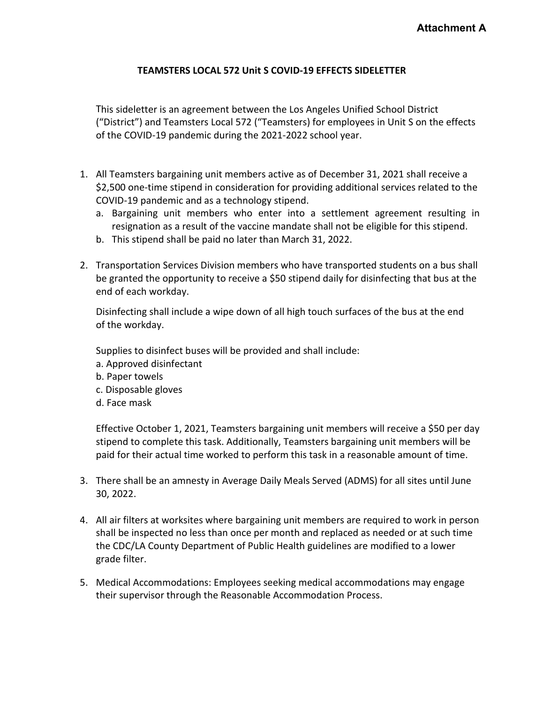## **TEAMSTERS LOCAL 572 Unit S COVID-19 EFFECTS SIDELETTER**

This sideletter is an agreement between the Los Angeles Unified School District ("District") and Teamsters Local 572 ("Teamsters) for employees in Unit S on the effects of the COVID-19 pandemic during the 2021-2022 school year.

- 1. All Teamsters bargaining unit members active as of December 31, 2021 shall receive a \$2,500 one-time stipend in consideration for providing additional services related to the COVID-19 pandemic and as a technology stipend.
	- a. Bargaining unit members who enter into a settlement agreement resulting in resignation as a result of the vaccine mandate shall not be eligible for this stipend.
	- b. This stipend shall be paid no later than March 31, 2022.
- 2. Transportation Services Division members who have transported students on a bus shall be granted the opportunity to receive a \$50 stipend daily for disinfecting that bus at the end of each workday.

Disinfecting shall include a wipe down of all high touch surfaces of the bus at the end of the workday.

Supplies to disinfect buses will be provided and shall include:

- a. Approved disinfectant
- b. Paper towels
- c. Disposable gloves
- d. Face mask

Effective October 1, 2021, Teamsters bargaining unit members will receive a \$50 per day stipend to complete this task. Additionally, Teamsters bargaining unit members will be paid for their actual time worked to perform this task in a reasonable amount of time.

- 3. There shall be an amnesty in Average Daily Meals Served (ADMS) for all sites until June 30, 2022.
- 4. All air filters at worksites where bargaining unit members are required to work in person shall be inspected no less than once per month and replaced as needed or at such time the CDC/LA County Department of Public Health guidelines are modified to a lower grade filter.
- 5. Medical Accommodations: Employees seeking medical accommodations may engage their supervisor through the Reasonable Accommodation Process.